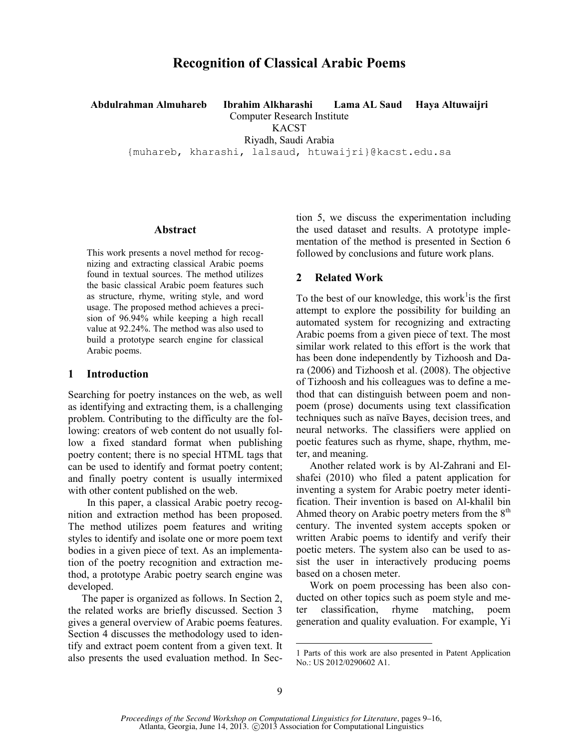# **Recognition of Classical Arabic Poems**

**Abdulrahman Almuhareb Ibrahim Alkharashi Lama AL Saud Haya Altuwaijri**

Computer Research Institute

KACST Riyadh, Saudi Arabia

{muhareb, kharashi, lalsaud, htuwaijri}@kacst.edu.sa

### **Abstract**

This work presents a novel method for recognizing and extracting classical Arabic poems found in textual sources. The method utilizes the basic classical Arabic poem features such as structure, rhyme, writing style, and word usage. The proposed method achieves a precision of 96.94% while keeping a high recall value at 92.24%. The method was also used to build a prototype search engine for classical Arabic poems.

### **1 Introduction**

Searching for poetry instances on the web, as well as identifying and extracting them, is a challenging problem. Contributing to the difficulty are the following: creators of web content do not usually follow a fixed standard format when publishing poetry content; there is no special HTML tags that can be used to identify and format poetry content; and finally poetry content is usually intermixed with other content published on the web.

In this paper, a classical Arabic poetry recognition and extraction method has been proposed. The method utilizes poem features and writing styles to identify and isolate one or more poem text bodies in a given piece of text. As an implementation of the poetry recognition and extraction method, a prototype Arabic poetry search engine was developed.

The paper is organized as follows. In Section 2, the related works are briefly discussed. Section 3 gives a general overview of Arabic poems features. Section 4 discusses the methodology used to identify and extract poem content from a given text. It also presents the used evaluation method. In Section 5, we discuss the experimentation including the used dataset and results. A prototype implementation of the method is presented in Section 6 followed by conclusions and future work plans.

### **2 Related Work**

To the best of our knowledge, this work<sup>1</sup> is the first attempt to explore the possibility for building an automated system for recognizing and extracting Arabic poems from a given piece of text. The most similar work related to this effort is the work that has been done independently by Tizhoosh and Dara (2006) and Tizhoosh et al. (2008). The objective of Tizhoosh and his colleagues was to define a method that can distinguish between poem and nonpoem (prose) documents using text classification techniques such as naïve Bayes, decision trees, and neural networks. The classifiers were applied on poetic features such as rhyme, shape, rhythm, meter, and meaning.

Another related work is by Al-Zahrani and Elshafei (2010) who filed a patent application for inventing a system for Arabic poetry meter identification. Their invention is based on Al-khalil bin Ahmed theory on Arabic poetry meters from the  $8<sup>th</sup>$ century. The invented system accepts spoken or written Arabic poems to identify and verify their poetic meters. The system also can be used to assist the user in interactively producing poems based on a chosen meter.

Work on poem processing has been also conducted on other topics such as poem style and meter classification, rhyme matching, poem generation and quality evaluation. For example, Yi

l

<sup>1</sup> Parts of this work are also presented in Patent Application No.: US 2012/0290602 A1.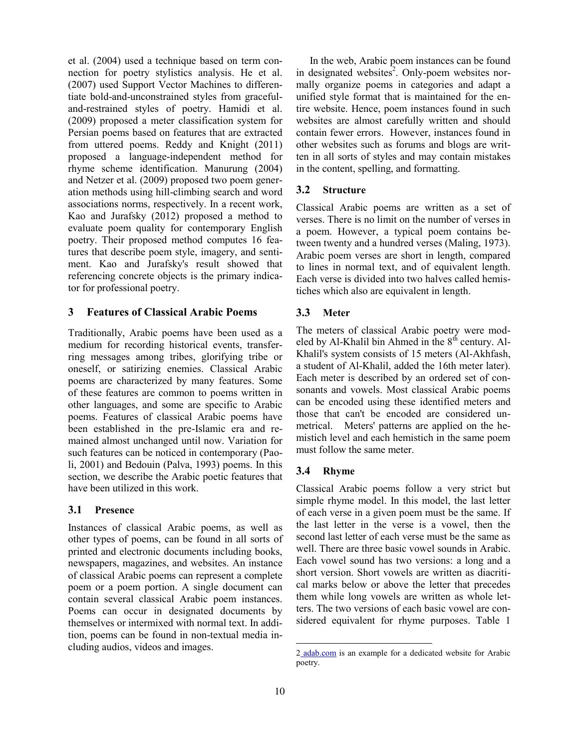et al. (2004) used a technique based on term connection for poetry stylistics analysis. He et al. (2007) used Support Vector Machines to differentiate bold-and-unconstrained styles from gracefuland-restrained styles of poetry. Hamidi et al. (2009) proposed a meter classification system for Persian poems based on features that are extracted from uttered poems. Reddy and Knight (2011) proposed a language-independent method for rhyme scheme identification. Manurung (2004) and Netzer et al. (2009) proposed two poem generation methods using hill-climbing search and word associations norms, respectively. In a recent work, Kao and Jurafsky (2012) proposed a method to evaluate poem quality for contemporary English poetry. Their proposed method computes 16 features that describe poem style, imagery, and sentiment. Kao and Jurafsky's result showed that referencing concrete objects is the primary indicator for professional poetry.

# **3 Features of Classical Arabic Poems**

Traditionally, Arabic poems have been used as a medium for recording historical events, transferring messages among tribes, glorifying tribe or oneself, or satirizing enemies. Classical Arabic poems are characterized by many features. Some of these features are common to poems written in other languages, and some are specific to Arabic poems. Features of classical Arabic poems have been established in the pre-Islamic era and remained almost unchanged until now. Variation for such features can be noticed in contemporary (Paoli, 2001) and Bedouin (Palva, 1993) poems. In this section, we describe the Arabic poetic features that have been utilized in this work.

# **3.1 Presence**

Instances of classical Arabic poems, as well as other types of poems, can be found in all sorts of printed and electronic documents including books, newspapers, magazines, and websites. An instance of classical Arabic poems can represent a complete poem or a poem portion. A single document can contain several classical Arabic poem instances. Poems can occur in designated documents by themselves or intermixed with normal text. In addition, poems can be found in non-textual media including audios, videos and images.

In the web, Arabic poem instances can be found in designated websites<sup>2</sup>. Only-poem websites normally organize poems in categories and adapt a unified style format that is maintained for the entire website. Hence, poem instances found in such websites are almost carefully written and should contain fewer errors. However, instances found in other websites such as forums and blogs are written in all sorts of styles and may contain mistakes in the content, spelling, and formatting.

# **3.2 Structure**

Classical Arabic poems are written as a set of verses. There is no limit on the number of verses in a poem. However, a typical poem contains between twenty and a hundred verses (Maling, 1973). Arabic poem verses are short in length, compared to lines in normal text, and of equivalent length. Each verse is divided into two halves called hemistiches which also are equivalent in length.

# **3.3 Meter**

The meters of classical Arabic poetry were modeled by Al-Khalil bin Ahmed in the  $8<sup>th</sup>$  century. Al-Khalil's system consists of 15 meters (Al-Akhfash, a student of Al-Khalil, added the 16th meter later). Each meter is described by an ordered set of consonants and vowels. Most classical Arabic poems can be encoded using these identified meters and those that can't be encoded are considered unmetrical. Meters' patterns are applied on the hemistich level and each hemistich in the same poem must follow the same meter.

# **3.4 Rhyme**

Classical Arabic poems follow a very strict but simple rhyme model. In this model, the last letter of each verse in a given poem must be the same. If the last letter in the verse is a vowel, then the second last letter of each verse must be the same as well. There are three basic vowel sounds in Arabic. Each vowel sound has two versions: a long and a short version. Short vowels are written as diacritical marks below or above the letter that precedes them while long vowels are written as whole letters. The two versions of each basic vowel are considered equivalent for rhyme purposes. Table 1

l

<sup>2</sup> adab.com is an example for a dedicated website for Arabic poetry.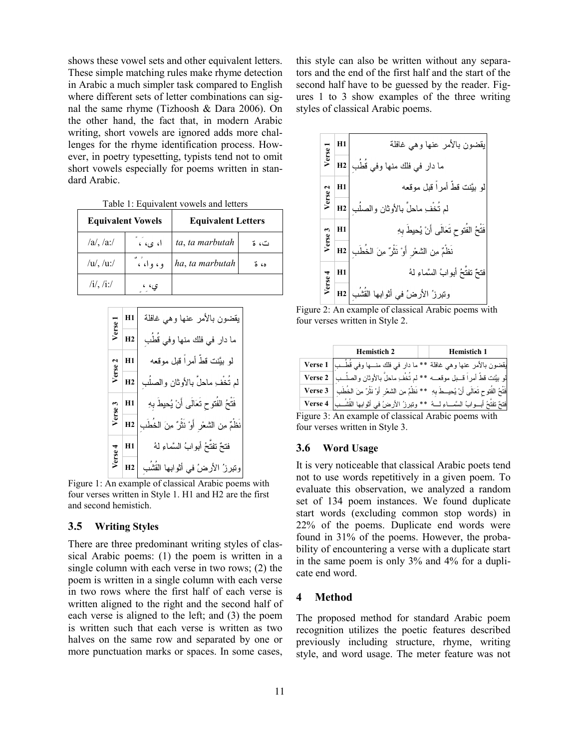shows these vowel sets and other equivalent letters. These simple matching rules make rhyme detection in Arabic a much simpler task compared to English where different sets of letter combinations can signal the same rhyme (Tizhoosh & Dara 2006). On the other hand, the fact that, in modern Arabic writing, short vowels are ignored adds more challenges for the rhyme identification process. However, in poetry typesetting, typists tend not to omit short vowels especially for poems written in standard Arabic.

Table 1: Equivalent vowels and letters

|                 | <b>Equivalent Vowels</b> | <b>Equivalent Letters</b> |       |  |  |
|-----------------|--------------------------|---------------------------|-------|--|--|
| a ,  a          | ا، ی، ،                  | ta, ta marbutah           | ت، ۃ  |  |  |
| $/u/$ , $/u$ :/ | وءواءء                   | ha, ta marbutah           | ه، هُ |  |  |
| $/i/$ , $/i$ :/ | ي،                       |                           |       |  |  |

**H1 Verse 1 H2 H1 Verse 2 H2 H1 Verse 3 H2 H1 Verse 4 H2**

Figure 1: An example of classical Arabic poems with four verses written in Style 1. H1 and H2 are the first and second hemistich.

#### **3.5 Writing Styles**

There are three predominant writing styles of classical Arabic poems: (1) the poem is written in a single column with each verse in two rows; (2) the poem is written in a single column with each verse in two rows where the first half of each verse is written aligned to the right and the second half of each verse is aligned to the left; and (3) the poem is written such that each verse is written as two halves on the same row and separated by one or more punctuation marks or spaces. In some cases,

this style can also be written without any separators and the end of the first half and the start of the second half have to be guessed by the reader. Figures 1 to 3 show examples of the three writing styles of classical Arabic poems.



Figure 2: An example of classical Arabic poems with four verses written in Style 2.

| <b>Hemistich 2</b>                                                                                        | <b>Hemistich 1</b> |
|-----------------------------------------------------------------------------------------------------------|--------------------|
|                                                                                                           |                    |
| لو بيَّنت قطّ أمراً قــبل موقعـــه ** لم تُخُف ِ ماحلٌ بالأوثان والصلُــب   Verse 2                       |                    |
| فَتْحُ الفُتوحِ تَعَالَى أَنْ يُحيـــطَ بِهِ ** نَظُمِّ مِن الشَّعْرِ أَوْ نَثْرٌ مِنَ الخُطْبِ   Verse 3 |                    |
| فتحّ تفتَّحُ أبـــوابُ السَّمـــاءِ لــــهُ ** وتبرزُ الأرضُ في أثوابها القُتْسُــب   Verse 4             |                    |

Figure 3: An example of classical Arabic poems with four verses written in Style 3.

# **3.6 Word Usage**

It is very noticeable that classical Arabic poets tend not to use words repetitively in a given poem. To evaluate this observation, we analyzed a random set of 134 poem instances. We found duplicate start words (excluding common stop words) in 22% of the poems. Duplicate end words were found in 31% of the poems. However, the probability of encountering a verse with a duplicate start in the same poem is only 3% and 4% for a duplicate end word.

#### **4 Method**

The proposed method for standard Arabic poem recognition utilizes the poetic features described previously including structure, rhyme, writing style, and word usage. The meter feature was not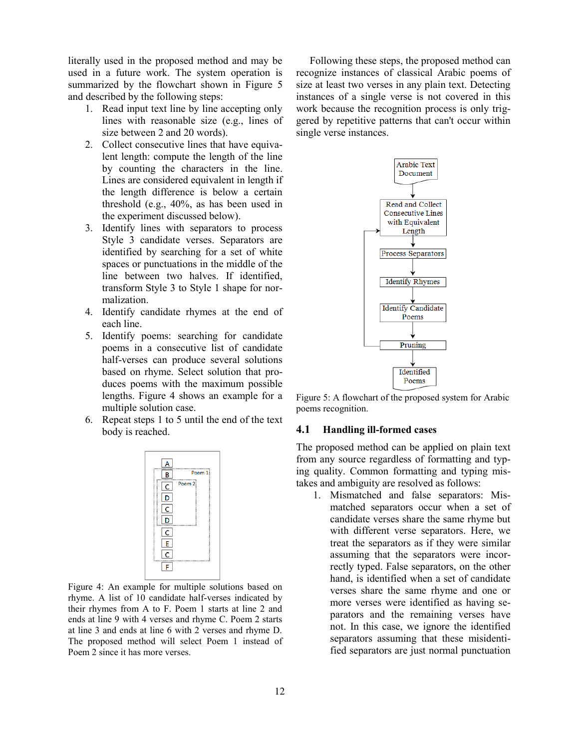literally used in the proposed method and may be used in a future work. The system operation is summarized by the flowchart shown in Figure 5 and described by the following steps:

- 1. Read input text line by line accepting only lines with reasonable size (e.g., lines of size between 2 and 20 words).
- 2. Collect consecutive lines that have equivalent length: compute the length of the line by counting the characters in the line. Lines are considered equivalent in length if the length difference is below a certain threshold (e.g., 40%, as has been used in the experiment discussed below).
- 3. Identify lines with separators to process Style 3 candidate verses. Separators are identified by searching for a set of white spaces or punctuations in the middle of the line between two halves. If identified, transform Style 3 to Style 1 shape for normalization.
- 4. Identify candidate rhymes at the end of each line.
- 5. Identify poems: searching for candidate poems in a consecutive list of candidate half-verses can produce several solutions based on rhyme. Select solution that produces poems with the maximum possible lengths. Figure 4 shows an example for a multiple solution case.
- 6. Repeat steps 1 to 5 until the end of the text body is reached.



Figure 4: An example for multiple solutions based on rhyme. A list of 10 candidate half-verses indicated by their rhymes from A to F. Poem 1 starts at line 2 and ends at line 9 with 4 verses and rhyme C. Poem 2 starts at line 3 and ends at line 6 with 2 verses and rhyme D. The proposed method will select Poem 1 instead of Poem 2 since it has more verses.

Following these steps, the proposed method can recognize instances of classical Arabic poems of size at least two verses in any plain text. Detecting instances of a single verse is not covered in this work because the recognition process is only triggered by repetitive patterns that can't occur within single verse instances.



Figure 5: A flowchart of the proposed system for Arabic poems recognition.

### **4.1 Handling ill-formed cases**

The proposed method can be applied on plain text from any source regardless of formatting and typing quality. Common formatting and typing mistakes and ambiguity are resolved as follows:

1. Mismatched and false separators: Mismatched separators occur when a set of candidate verses share the same rhyme but with different verse separators. Here, we treat the separators as if they were similar assuming that the separators were incorrectly typed. False separators, on the other hand, is identified when a set of candidate verses share the same rhyme and one or more verses were identified as having separators and the remaining verses have not. In this case, we ignore the identified separators assuming that these misidentified separators are just normal punctuation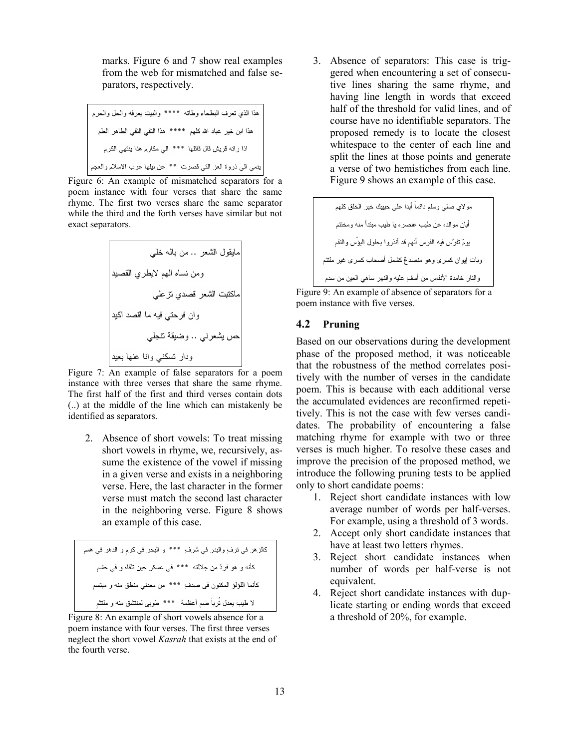marks. Figure 6 and 7 show real examples from the web for mismatched and false separators, respectively.

Figure 6: An example of mismatched separators for a poem instance with four verses that share the same rhyme. The first two verses share the same separator while the third and the forth verses have similar but not exact separators.

Figure 7: An example of false separators for a poem instance with three verses that share the same rhyme. The first half of the first and third verses contain dots (..) at the middle of the line which can mistakenly be identified as separators.

2. Absence of short vowels: To treat missing short vowels in rhyme, we, recursively, assume the existence of the vowel if missing in a given verse and exists in a neighboring verse. Here, the last character in the former verse must match the second last character in the neighboring verse. Figure 8 shows an example of this case.

كالزهر في ترفٍ والبدر في شرفٍ \*\*\* و البحر في كرم و الدهر في همم كأنه و هو فردٌ من جلالته \*\*\* في عسكر حين نلقاه و في حشم كأنما اللؤلؤ المكنون في صدفٍ \*\*\* من معدني منطق منه و مبتسم لا طيب يعدل تُرباً ضم أعظمهُ \*\*\* طوبي لمنتشقٍ منه و ملتثم

Figure 8: An example of short vowels absence for a poem instance with four verses. The first three verses neglect the short vowel *Kasrah* that exists at the end of the fourth verse.

3. Absence of separators: This case is triggered when encountering a set of consecutive lines sharing the same rhyme, and having line length in words that exceed half of the threshold for valid lines, and of course have no identifiable separators. The proposed remedy is to locate the closest whitespace to the center of each line and split the lines at those points and generate a verse of two hemistiches from each line. Figure 9 shows an example of this case.

مو لاي صلى وسلم دائماً أبدا على حبيبك خير الخلق كلهم أبان موالده عن طيب عنصره يا طيب مبتدأ منه ومخنتم .<br>يومّ نفرٌس فيه الفرس أنهم قد أنذروا بحلول البؤس والنقم وبات اپوان کسری وهو منصدعٌ کشمل أصحاب کسری غیر ملتئم والنار خامدة الأنفاس من أسفٍ عليه والنهر ساهي العين من سدم

Figure 9: An example of absence of separators for a poem instance with five verses.

### **4.2 Pruning**

Based on our observations during the development phase of the proposed method, it was noticeable that the robustness of the method correlates positively with the number of verses in the candidate poem. This is because with each additional verse the accumulated evidences are reconfirmed repetitively. This is not the case with few verses candidates. The probability of encountering a false matching rhyme for example with two or three verses is much higher. To resolve these cases and improve the precision of the proposed method, we introduce the following pruning tests to be applied only to short candidate poems:

- 1. Reject short candidate instances with low average number of words per half-verses. For example, using a threshold of 3 words.
- 2. Accept only short candidate instances that have at least two letters rhymes.
- 3. Reject short candidate instances when number of words per half-verse is not equivalent.
- 4. Reject short candidate instances with duplicate starting or ending words that exceed a threshold of 20%, for example.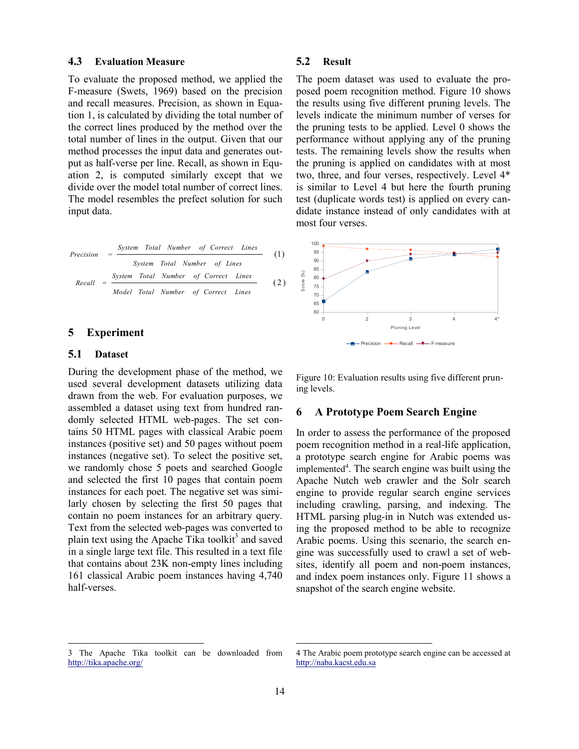#### **4.3 Evaluation Measure**

To evaluate the proposed method, we applied the F-measure (Swets, 1969) based on the precision and recall measures. Precision, as shown in Equation 1, is calculated by dividing the total number of the correct lines produced by the method over the total number of lines in the output. Given that our method processes the input data and generates output as half-verse per line. Recall, as shown in Equation 2, is computed similarly except that we divide over the model total number of correct lines. The model resembles the prefect solution for such input data.

| Precision     |  |  | System Total Number of Correct Lines<br>System Total Number of Lines |  | (1) |
|---------------|--|--|----------------------------------------------------------------------|--|-----|
| Recall<br>$=$ |  |  | System Total Number of Correct Lines                                 |  | (2) |
|               |  |  | Model Total Number of Correct Lines                                  |  |     |

### **5 Experiment**

#### **5.1 Dataset**

l

During the development phase of the method, we used several development datasets utilizing data drawn from the web. For evaluation purposes, we assembled a dataset using text from hundred randomly selected HTML web-pages. The set contains 50 HTML pages with classical Arabic poem instances (positive set) and 50 pages without poem instances (negative set). To select the positive set, we randomly chose 5 poets and searched Google and selected the first 10 pages that contain poem instances for each poet. The negative set was similarly chosen by selecting the first 50 pages that contain no poem instances for an arbitrary query. Text from the selected web-pages was converted to plain text using the Apache Tika toolkit<sup>3</sup> and saved in a single large text file. This resulted in a text file that contains about 23K non-empty lines including 161 classical Arabic poem instances having 4,740 half-verses.

### **5.2 Result**

The poem dataset was used to evaluate the proposed poem recognition method. Figure 10 shows the results using five different pruning levels. The levels indicate the minimum number of verses for the pruning tests to be applied. Level 0 shows the performance without applying any of the pruning tests. The remaining levels show the results when the pruning is applied on candidates with at most two, three, and four verses, respectively. Level 4\* is similar to Level 4 but here the fourth pruning test (duplicate words test) is applied on every candidate instance instead of only candidates with at most four verses.



Figure 10: Evaluation results using five different pruning levels.

### **6 A Prototype Poem Search Engine**

In order to assess the performance of the proposed poem recognition method in a real-life application, a prototype search engine for Arabic poems was implemented $4$ . The search engine was built using the Apache Nutch web crawler and the Solr search engine to provide regular search engine services including crawling, parsing, and indexing. The HTML parsing plug-in in Nutch was extended using the proposed method to be able to recognize Arabic poems. Using this scenario, the search engine was successfully used to crawl a set of websites, identify all poem and non-poem instances, and index poem instances only. Figure 11 shows a snapshot of the search engine website.

l

<sup>3</sup> The Apache Tika toolkit can be downloaded from http://tika.apache.org/

<sup>4</sup> The Arabic poem prototype search engine can be accessed at http://naba.kacst.edu.sa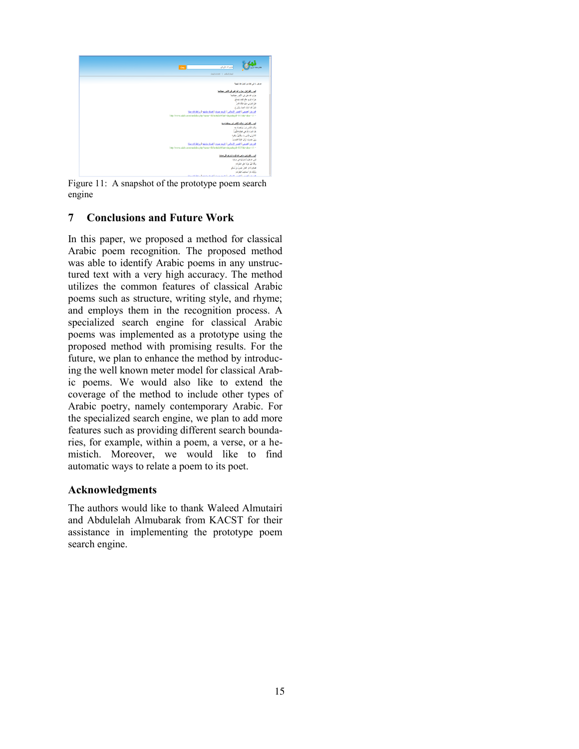

Figure 11: A snapshot of the prototype poem search engine

# **7 Conclusions and Future Work**

In this paper, we proposed a method for classical Arabic poem recognition. The proposed method was able to identify Arabic poems in any unstructured text with a very high accuracy. The method utilizes the common features of classical Arabic poems such as structure, writing style, and rhyme; and employs them in the recognition process. A specialized search engine for classical Arabic poems was implemented as a prototype using the proposed method with promising results. For the future, we plan to enhance the method by introducing the well known meter model for classical Arabic poems. We would also like to extend the coverage of the method to include other types of Arabic poetry, namely contemporary Arabic. For the specialized search engine, we plan to add more features such as providing different search boundaries, for example, within a poem, a verse, or a hemistich. Moreover, we would like to find automatic ways to relate a poem to its poet.

# **Acknowledgments**

The authors would like to thank Waleed Almutairi and Abdulelah Almubarak from KACST for their assistance in implementing the prototype poem search engine.